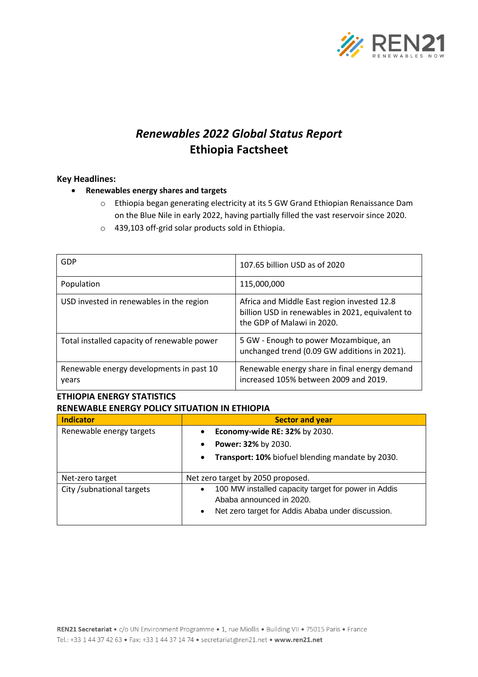

# *Renewables 2022 Global Status Report* **Ethiopia Factsheet**

### **Key Headlines:**

- **Renewables energy shares and targets**
	- o Ethiopia began generating electricity at its 5 GW Grand Ethiopian Renaissance Dam on the Blue Nile in early 2022, having partially filled the vast reservoir since 2020.
	- o 439,103 off-grid solar products sold in Ethiopia.

| GDP                                               | 107.65 billion USD as of 2020                                                                                                 |
|---------------------------------------------------|-------------------------------------------------------------------------------------------------------------------------------|
| Population                                        | 115,000,000                                                                                                                   |
| USD invested in renewables in the region          | Africa and Middle East region invested 12.8<br>billion USD in renewables in 2021, equivalent to<br>the GDP of Malawi in 2020. |
| Total installed capacity of renewable power       | 5 GW - Enough to power Mozambique, an<br>unchanged trend (0.09 GW additions in 2021).                                         |
| Renewable energy developments in past 10<br>years | Renewable energy share in final energy demand<br>increased 105% between 2009 and 2019.                                        |

### **ETHIOPIA ENERGY STATISTICS RENEWABLE ENERGY POLICY SITUATION IN ETHIOPIA**

| <b>Indicator</b>           | <b>Sector and year</b>                                           |  |
|----------------------------|------------------------------------------------------------------|--|
| Renewable energy targets   | Economy-wide RE: 32% by 2030.<br>$\bullet$                       |  |
|                            | Power: 32% by 2030.<br>$\bullet$                                 |  |
|                            | Transport: 10% biofuel blending mandate by 2030.<br>$\bullet$    |  |
|                            |                                                                  |  |
| Net-zero target            | Net zero target by 2050 proposed.                                |  |
| City / subnational targets | 100 MW installed capacity target for power in Addis<br>$\bullet$ |  |
|                            | Ababa announced in 2020.                                         |  |
|                            | Net zero target for Addis Ababa under discussion.<br>$\bullet$   |  |